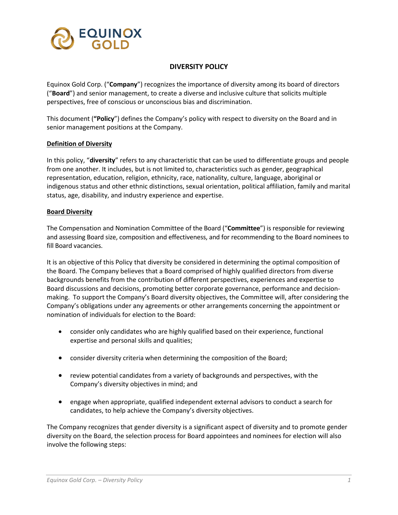

# **DIVERSITY POLICY**

Equinox Gold Corp. ("**Company**") recognizes the importance of diversity among its board of directors ("**Board**") and senior management, to create a diverse and inclusive culture that solicits multiple perspectives, free of conscious or unconscious bias and discrimination.

This document (**"Policy**") defines the Company's policy with respect to diversity on the Board and in senior management positions at the Company.

#### **Definition of Diversity**

In this policy, "**diversity**" refers to any characteristic that can be used to differentiate groups and people from one another. It includes, but is not limited to, characteristics such as gender, geographical representation, education, religion, ethnicity, race, nationality, culture, language, aboriginal or indigenous status and other ethnic distinctions, sexual orientation, political affiliation, family and marital status, age, disability, and industry experience and expertise.

#### **Board Diversity**

The Compensation and Nomination Committee of the Board ("**Committee**") is responsible for reviewing and assessing Board size, composition and effectiveness, and for recommending to the Board nominees to fill Board vacancies.

It is an objective of this Policy that diversity be considered in determining the optimal composition of the Board. The Company believes that a Board comprised of highly qualified directors from diverse backgrounds benefits from the contribution of different perspectives, experiences and expertise to Board discussions and decisions, promoting better corporate governance, performance and decisionmaking. To support the Company's Board diversity objectives, the Committee will, after considering the Company's obligations under any agreements or other arrangements concerning the appointment or nomination of individuals for election to the Board:

- consider only candidates who are highly qualified based on their experience, functional expertise and personal skills and qualities;
- consider diversity criteria when determining the composition of the Board;
- review potential candidates from a variety of backgrounds and perspectives, with the Company's diversity objectives in mind; and
- engage when appropriate, qualified independent external advisors to conduct a search for candidates, to help achieve the Company's diversity objectives.

The Company recognizes that gender diversity is a significant aspect of diversity and to promote gender diversity on the Board, the selection process for Board appointees and nominees for election will also involve the following steps: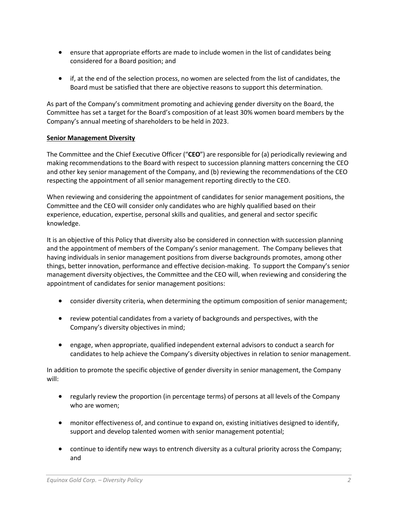- ensure that appropriate efforts are made to include women in the list of candidates being considered for a Board position; and
- if, at the end of the selection process, no women are selected from the list of candidates, the Board must be satisfied that there are objective reasons to support this determination.

As part of the Company's commitment promoting and achieving gender diversity on the Board, the Committee has set a target for the Board's composition of at least 30% women board members by the Company's annual meeting of shareholders to be held in 2023.

# **Senior Management Diversity**

The Committee and the Chief Executive Officer ("**CEO**") are responsible for (a) periodically reviewing and making recommendations to the Board with respect to succession planning matters concerning the CEO and other key senior management of the Company, and (b) reviewing the recommendations of the CEO respecting the appointment of all senior management reporting directly to the CEO.

When reviewing and considering the appointment of candidates for senior management positions, the Committee and the CEO will consider only candidates who are highly qualified based on their experience, education, expertise, personal skills and qualities, and general and sector specific knowledge.

It is an objective of this Policy that diversity also be considered in connection with succession planning and the appointment of members of the Company's senior management. The Company believes that having individuals in senior management positions from diverse backgrounds promotes, among other things, better innovation, performance and effective decision-making. To support the Company's senior management diversity objectives, the Committee and the CEO will, when reviewing and considering the appointment of candidates for senior management positions:

- consider diversity criteria, when determining the optimum composition of senior management;
- review potential candidates from a variety of backgrounds and perspectives, with the Company's diversity objectives in mind;
- engage, when appropriate, qualified independent external advisors to conduct a search for candidates to help achieve the Company's diversity objectives in relation to senior management.

In addition to promote the specific objective of gender diversity in senior management, the Company will:

- regularly review the proportion (in percentage terms) of persons at all levels of the Company who are women;
- monitor effectiveness of, and continue to expand on, existing initiatives designed to identify, support and develop talented women with senior management potential;
- continue to identify new ways to entrench diversity as a cultural priority across the Company; and